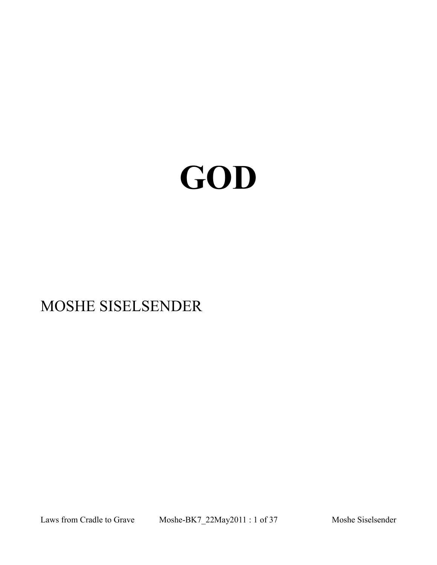# **GOD**

## MOSHE SISELSENDER

Laws from Cradle to Grave Moshe-BK7\_22May2011 : 1 of 37 Moshe Siselsender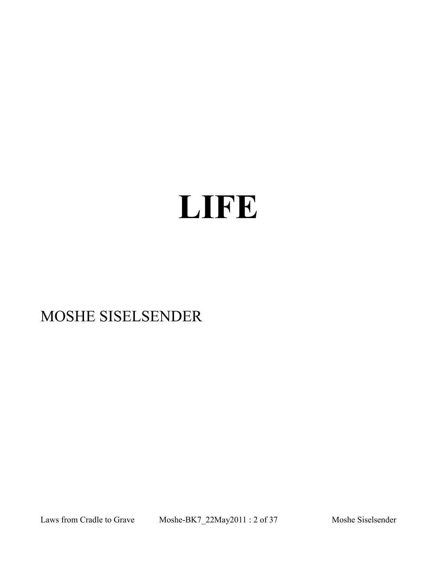# **LIFE**

# MOSHE SISELSENDER

Laws from Cradle to Grave Moshe-BK7\_22May2011 : 2 of 37 Moshe Siselsender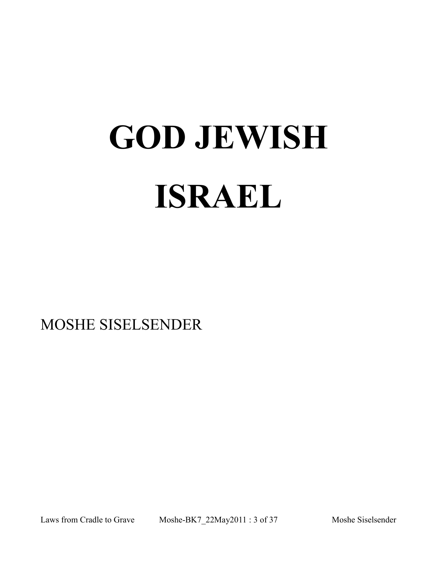# **GOD JEWISH ISRAEL**

MOSHE SISELSENDER

Laws from Cradle to Grave Moshe-BK7\_22May2011 : 3 of 37 Moshe Siselsender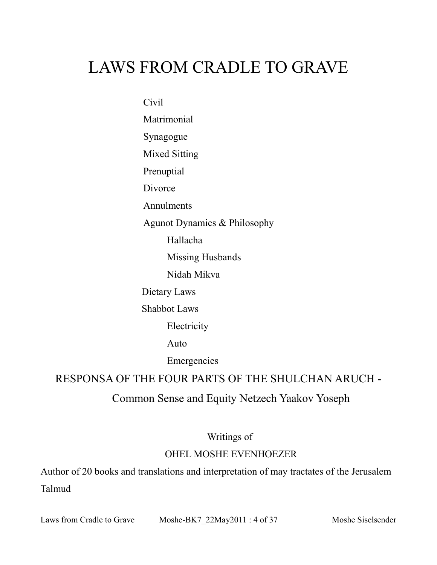# LAWS FROM CRADLE TO GRAVE

Civil

Matrimonial Synagogue Mixed Sitting Prenuptial

Divorce

**Annulments** 

Agunot Dynamics & Philosophy

Hallacha

Missing Husbands

Nidah Mikva

Dietary Laws

Shabbot Laws

Electricity

Auto

Emergencies

RESPONSA OF THE FOUR PARTS OF THE SHULCHAN ARUCH -

#### Common Sense and Equity Netzech Yaakov Yoseph

#### Writings of

#### OHEL MOSHE EVENHOEZER

Author of 20 books and translations and interpretation of may tractates of the Jerusalem Talmud

Laws from Cradle to Grave Moshe-BK7 22May2011 : 4 of 37 Moshe Siselsender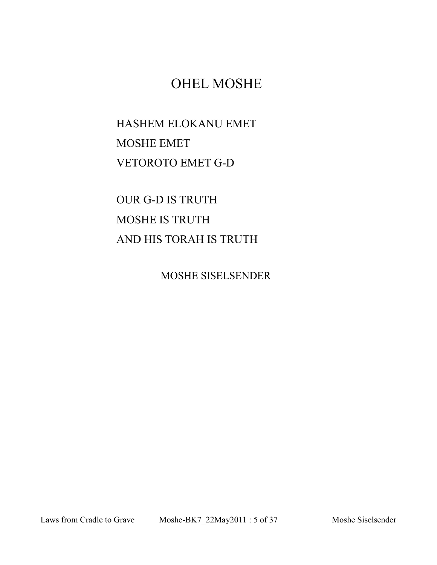### OHEL MOSHE

HASHEM ELOKANU EMET MOSHE EMET VETOROTO EMET G-D

OUR G-D IS TRUTH MOSHE IS TRUTH AND HIS TORAH IS TRUTH

MOSHE SISELSENDER

Laws from Cradle to Grave Moshe-BK7\_22May2011 : 5 of 37 Moshe Siselsender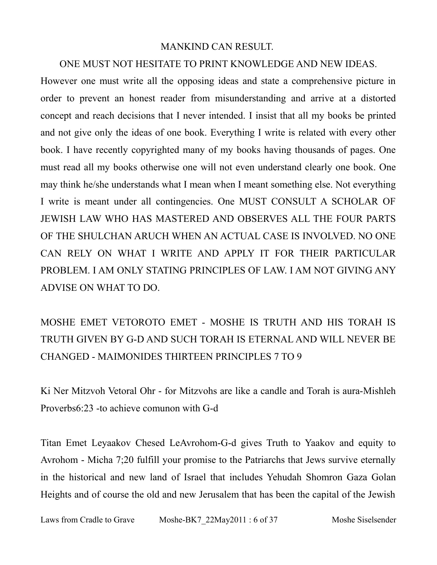#### MANKIND CAN RESULT.

#### ONE MUST NOT HESITATE TO PRINT KNOWLEDGE AND NEW IDEAS.

However one must write all the opposing ideas and state a comprehensive picture in order to prevent an honest reader from misunderstanding and arrive at a distorted concept and reach decisions that I never intended. I insist that all my books be printed and not give only the ideas of one book. Everything I write is related with every other book. I have recently copyrighted many of my books having thousands of pages. One must read all my books otherwise one will not even understand clearly one book. One may think he/she understands what I mean when I meant something else. Not everything I write is meant under all contingencies. One MUST CONSULT A SCHOLAR OF JEWISH LAW WHO HAS MASTERED AND OBSERVES ALL THE FOUR PARTS OF THE SHULCHAN ARUCH WHEN AN ACTUAL CASE IS INVOLVED. NO ONE CAN RELY ON WHAT I WRITE AND APPLY IT FOR THEIR PARTICULAR PROBLEM. I AM ONLY STATING PRINCIPLES OF LAW. I AM NOT GIVING ANY ADVISE ON WHAT TO DO.

## MOSHE EMET VETOROTO EMET - MOSHE IS TRUTH AND HIS TORAH IS TRUTH GIVEN BY G-D AND SUCH TORAH IS ETERNAL AND WILL NEVER BE CHANGED - MAIMONIDES THIRTEEN PRINCIPLES 7 TO 9

Ki Ner Mitzvoh Vetoral Ohr - for Mitzvohs are like a candle and Torah is aura-Mishleh Proverbs6:23 -to achieve comunon with G-d

Titan Emet Leyaakov Chesed LeAvrohom-G-d gives Truth to Yaakov and equity to Avrohom - Micha 7;20 fulfill your promise to the Patriarchs that Jews survive eternally in the historical and new land of Israel that includes Yehudah Shomron Gaza Golan Heights and of course the old and new Jerusalem that has been the capital of the Jewish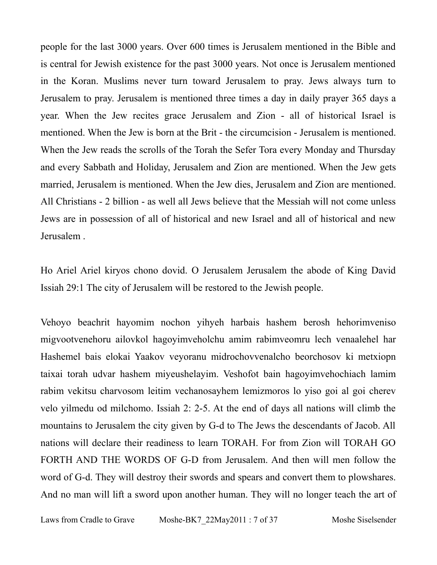people for the last 3000 years. Over 600 times is Jerusalem mentioned in the Bible and is central for Jewish existence for the past 3000 years. Not once is Jerusalem mentioned in the Koran. Muslims never turn toward Jerusalem to pray. Jews always turn to Jerusalem to pray. Jerusalem is mentioned three times a day in daily prayer 365 days a year. When the Jew recites grace Jerusalem and Zion - all of historical Israel is mentioned. When the Jew is born at the Brit - the circumcision - Jerusalem is mentioned. When the Jew reads the scrolls of the Torah the Sefer Tora every Monday and Thursday and every Sabbath and Holiday, Jerusalem and Zion are mentioned. When the Jew gets married, Jerusalem is mentioned. When the Jew dies, Jerusalem and Zion are mentioned. All Christians - 2 billion - as well all Jews believe that the Messiah will not come unless Jews are in possession of all of historical and new Israel and all of historical and new Jerusalem .

Ho Ariel Ariel kiryos chono dovid. O Jerusalem Jerusalem the abode of King David Issiah 29:1 The city of Jerusalem will be restored to the Jewish people.

Vehoyo beachrit hayomim nochon yihyeh harbais hashem berosh hehorimveniso migvootvenehoru ailovkol hagoyimveholchu amim rabimveomru lech venaalehel har Hashemel bais elokai Yaakov veyoranu midrochovvenalcho beorchosov ki metxiopn taixai torah udvar hashem miyeushelayim. Veshofot bain hagoyimvehochiach lamim rabim vekitsu charvosom leitim vechanosayhem lemizmoros lo yiso goi al goi cherev velo yilmedu od milchomo. Issiah 2: 2-5. At the end of days all nations will climb the mountains to Jerusalem the city given by G-d to The Jews the descendants of Jacob. All nations will declare their readiness to learn TORAH. For from Zion will TORAH GO FORTH AND THE WORDS OF G-D from Jerusalem. And then will men follow the word of G-d. They will destroy their swords and spears and convert them to plowshares. And no man will lift a sword upon another human. They will no longer teach the art of

Laws from Cradle to Grave Moshe-BK7 22May2011 : 7 of 37 Moshe Siselsender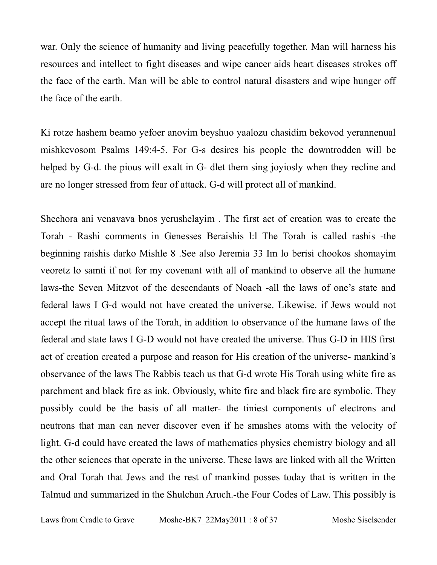war. Only the science of humanity and living peacefully together. Man will harness his resources and intellect to fight diseases and wipe cancer aids heart diseases strokes off the face of the earth. Man will be able to control natural disasters and wipe hunger off the face of the earth.

Ki rotze hashem beamo yefoer anovim beyshuo yaalozu chasidim bekovod yerannenual mishkevosom Psalms 149:4-5. For G-s desires his people the downtrodden will be helped by G-d. the pious will exalt in G- dlet them sing joyiosly when they recline and are no longer stressed from fear of attack. G-d will protect all of mankind.

Shechora ani venavava bnos yerushelayim . The first act of creation was to create the Torah - Rashi comments in Genesses Beraishis l:l The Torah is called rashis -the beginning raishis darko Mishle 8 .See also Jeremia 33 Im lo berisi chookos shomayim veoretz lo samti if not for my covenant with all of mankind to observe all the humane laws-the Seven Mitzvot of the descendants of Noach -all the laws of one's state and federal laws I G-d would not have created the universe. Likewise. if Jews would not accept the ritual laws of the Torah, in addition to observance of the humane laws of the federal and state laws I G-D would not have created the universe. Thus G-D in HIS first act of creation created a purpose and reason for His creation of the universe- mankind's observance of the laws The Rabbis teach us that G-d wrote His Torah using white fire as parchment and black fire as ink. Obviously, white fire and black fire are symbolic. They possibly could be the basis of all matter- the tiniest components of electrons and neutrons that man can never discover even if he smashes atoms with the velocity of light. G-d could have created the laws of mathematics physics chemistry biology and all the other sciences that operate in the universe. These laws are linked with all the Written and Oral Torah that Jews and the rest of mankind posses today that is written in the Talmud and summarized in the Shulchan Aruch.-the Four Codes of Law. This possibly is

Laws from Cradle to Grave Moshe-BK7 22May2011 : 8 of 37 Moshe Siselsender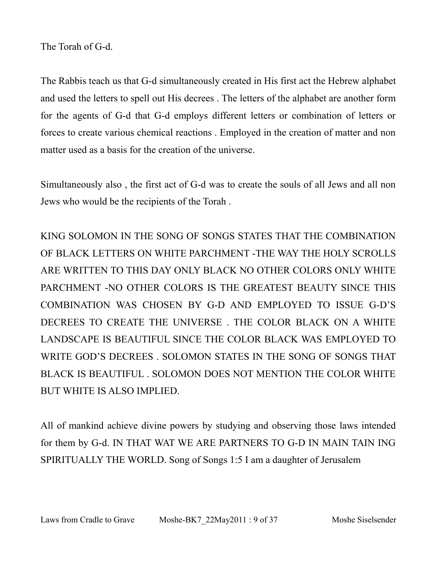The Torah of G-d.

The Rabbis teach us that G-d simultaneously created in His first act the Hebrew alphabet and used the letters to spell out His decrees . The letters of the alphabet are another form for the agents of G-d that G-d employs different letters or combination of letters or forces to create various chemical reactions . Employed in the creation of matter and non matter used as a basis for the creation of the universe.

Simultaneously also , the first act of G-d was to create the souls of all Jews and all non Jews who would be the recipients of the Torah .

KING SOLOMON IN THE SONG OF SONGS STATES THAT THE COMBINATION OF BLACK LETTERS ON WHITE PARCHMENT -THE WAY THE HOLY SCROLLS ARE WRITTEN TO THIS DAY ONLY BLACK NO OTHER COLORS ONLY WHITE PARCHMENT -NO OTHER COLORS IS THE GREATEST BEAUTY SINCE THIS COMBINATION WAS CHOSEN BY G-D AND EMPLOYED TO ISSUE G-D'S DECREES TO CREATE THE UNIVERSE . THE COLOR BLACK ON A WHITE LANDSCAPE IS BEAUTIFUL SINCE THE COLOR BLACK WAS EMPLOYED TO WRITE GOD'S DECREES . SOLOMON STATES IN THE SONG OF SONGS THAT BLACK IS BEAUTIFUL . SOLOMON DOES NOT MENTION THE COLOR WHITE BUT WHITE IS ALSO IMPLIED.

All of mankind achieve divine powers by studying and observing those laws intended for them by G-d. IN THAT WAT WE ARE PARTNERS TO G-D IN MAIN TAIN ING SPIRITUALLY THE WORLD. Song of Songs 1:5 I am a daughter of Jerusalem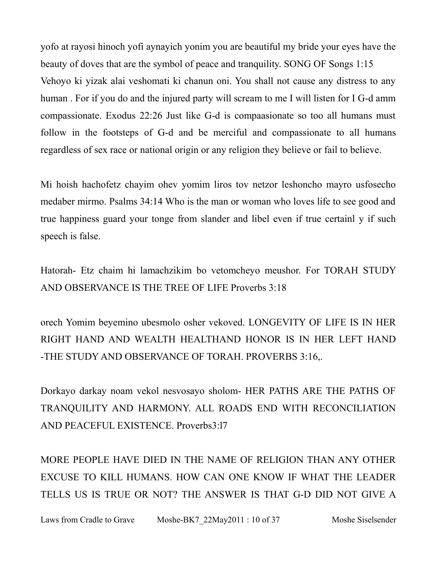yofo at rayosi hinoch yofi aynayich yonim you are beautiful my bride your eyes have the beauty of doves that are the symbol of peace and tranquility. SONG OF Songs 1:15 Vehoyo ki yizak alai veshomati ki chanun oni. You shall not cause any distress to any human . For if you do and the injured party will scream to me I will listen for I G-d amm compassionate. Exodus 22:26 Just like G-d is compaasionate so too all humans must follow in the footsteps of G-d and be merciful and compassionate to all humans regardless of sex race or national origin or any religion they believe or fail to believe.

Mi hoish hachofetz chayim ohev yomim liros tov netzor leshoncho mayro usfosecho medaber mirmo. Psalms 34:14 Who is the man or woman who loves life to see good and true happiness guard your tonge from slander and libel even if true certainl y if such speech is false.

Hatorah- Etz chaim hi lamachzikim bo vetomcheyo meushor. For TORAH STUDY AND OBSERVANCE IS THE TREE OF LIFE Proverbs 3:18

orech Yomim beyemino ubesmolo osher vekoved. LONGEVITY OF LIFE IS IN HER RIGHT HAND AND WEALTH HEALTHAND HONOR IS IN HER LEFT HAND -THE STUDY AND OBSERVANCE OF TORAH. PROVERBS 3:16,.

Dorkayo darkay noam vekol nesvosayo sholom- HER PATHS ARE THE PATHS OF TRANQUILITY AND HARMONY. ALL ROADS END WITH RECONCILIATION AND PEACEFUL EXISTENCE. Proverbs3:l7

MORE PEOPLE HAVE DIED IN THE NAME OF RELIGION THAN ANY OTHER EXCUSE TO KILL HUMANS. HOW CAN ONE KNOW IF WHAT THE LEADER TELLS US IS TRUE OR NOT? THE ANSWER IS THAT G-D DID NOT GIVE A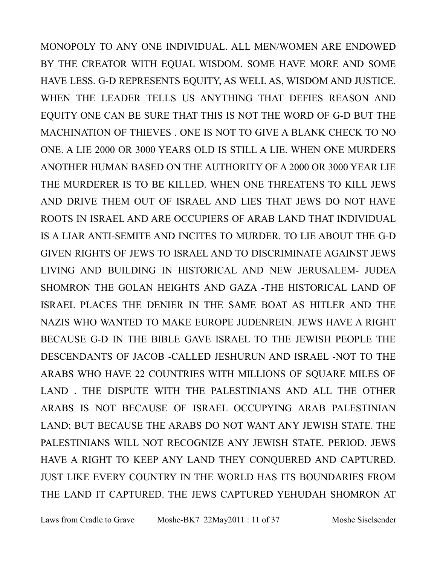MONOPOLY TO ANY ONE INDIVIDUAL. ALL MEN/WOMEN ARE ENDOWED BY THE CREATOR WITH EQUAL WISDOM. SOME HAVE MORE AND SOME HAVE LESS. G-D REPRESENTS EQUITY, AS WELL AS, WISDOM AND JUSTICE. WHEN THE LEADER TELLS US ANYTHING THAT DEFIES REASON AND EQUITY ONE CAN BE SURE THAT THIS IS NOT THE WORD OF G-D BUT THE MACHINATION OF THIEVES . ONE IS NOT TO GIVE A BLANK CHECK TO NO ONE. A LIE 2000 OR 3000 YEARS OLD IS STILL A LIE. WHEN ONE MURDERS ANOTHER HUMAN BASED ON THE AUTHORITY OF A 2000 OR 3000 YEAR LIE THE MURDERER IS TO BE KILLED. WHEN ONE THREATENS TO KILL JEWS AND DRIVE THEM OUT OF ISRAEL AND LIES THAT JEWS DO NOT HAVE ROOTS IN ISRAEL AND ARE OCCUPIERS OF ARAB LAND THAT INDIVIDUAL IS A LIAR ANTI-SEMITE AND INCITES TO MURDER. TO LIE ABOUT THE G-D GIVEN RIGHTS OF JEWS TO ISRAEL AND TO DISCRIMINATE AGAINST JEWS LIVING AND BUILDING IN HISTORICAL AND NEW JERUSALEM- JUDEA SHOMRON THE GOLAN HEIGHTS AND GAZA -THE HISTORICAL LAND OF ISRAEL PLACES THE DENIER IN THE SAME BOAT AS HITLER AND THE NAZIS WHO WANTED TO MAKE EUROPE JUDENREIN. JEWS HAVE A RIGHT BECAUSE G-D IN THE BIBLE GAVE ISRAEL TO THE JEWISH PEOPLE THE DESCENDANTS OF JACOB -CALLED JESHURUN AND ISRAEL -NOT TO THE ARABS WHO HAVE 22 COUNTRIES WITH MILLIONS OF SQUARE MILES OF LAND . THE DISPUTE WITH THE PALESTINIANS AND ALL THE OTHER ARABS IS NOT BECAUSE OF ISRAEL OCCUPYING ARAB PALESTINIAN LAND; BUT BECAUSE THE ARABS DO NOT WANT ANY JEWISH STATE. THE PALESTINIANS WILL NOT RECOGNIZE ANY JEWISH STATE. PERIOD. JEWS HAVE A RIGHT TO KEEP ANY LAND THEY CONQUERED AND CAPTURED. JUST LIKE EVERY COUNTRY IN THE WORLD HAS ITS BOUNDARIES FROM THE LAND IT CAPTURED. THE JEWS CAPTURED YEHUDAH SHOMRON AT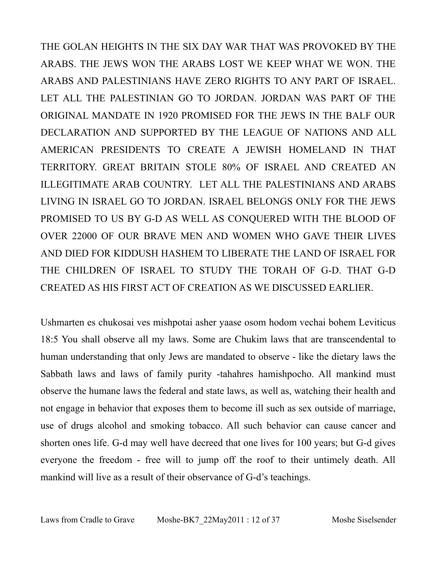THE GOLAN HEIGHTS IN THE SIX DAY WAR THAT WAS PROVOKED BY THE ARABS. THE JEWS WON THE ARABS LOST WE KEEP WHAT WE WON. THE ARABS AND PALESTINIANS HAVE ZERO RIGHTS TO ANY PART OF ISRAEL. LET ALL THE PALESTINIAN GO TO JORDAN. JORDAN WAS PART OF THE ORIGINAL MANDATE IN 1920 PROMISED FOR THE JEWS IN THE BALF OUR DECLARATION AND SUPPORTED BY THE LEAGUE OF NATIONS AND ALL AMERICAN PRESIDENTS TO CREATE A JEWISH HOMELAND IN THAT TERRITORY. GREAT BRITAIN STOLE 80% OF ISRAEL AND CREATED AN ILLEGITIMATE ARAB COUNTRY. LET ALL THE PALESTINIANS AND ARABS LIVING IN ISRAEL GO TO JORDAN. ISRAEL BELONGS ONLY FOR THE JEWS PROMISED TO US BY G-D AS WELL AS CONQUERED WITH THE BLOOD OF OVER 22000 OF OUR BRAVE MEN AND WOMEN WHO GAVE THEIR LIVES AND DIED FOR KIDDUSH HASHEM TO LIBERATE THE LAND OF ISRAEL FOR THE CHILDREN OF ISRAEL TO STUDY THE TORAH OF G-D. THAT G-D CREATED AS HIS FIRST ACT OF CREATION AS WE DISCUSSED EARLIER.

Ushmarten es chukosai ves mishpotai asher yaase osom hodom vechai bohem Leviticus 18:5 You shall observe all my laws. Some are Chukim laws that are transcendental to human understanding that only Jews are mandated to observe - like the dietary laws the Sabbath laws and laws of family purity -tahahres hamishpocho. All mankind must observe the humane laws the federal and state laws, as well as, watching their health and not engage in behavior that exposes them to become ill such as sex outside of marriage, use of drugs alcohol and smoking tobacco. All such behavior can cause cancer and shorten ones life. G-d may well have decreed that one lives for 100 years; but G-d gives everyone the freedom - free will to jump off the roof to their untimely death. All mankind will live as a result of their observance of G-d's teachings.

Laws from Cradle to Grave Moshe-BK7 22May2011 : 12 of 37 Moshe Siselsender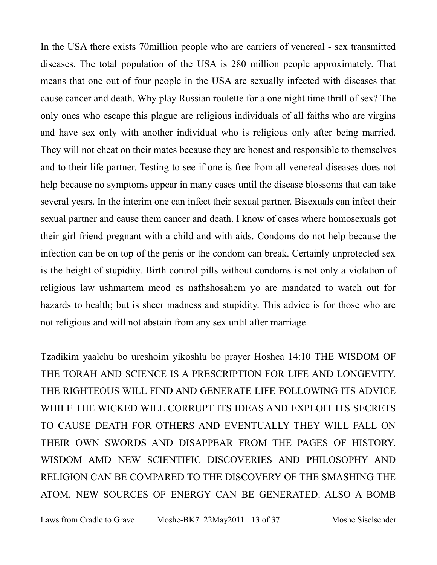In the USA there exists 70million people who are carriers of venereal - sex transmitted diseases. The total population of the USA is 280 million people approximately. That means that one out of four people in the USA are sexually infected with diseases that cause cancer and death. Why play Russian roulette for a one night time thrill of sex? The only ones who escape this plague are religious individuals of all faiths who are virgins and have sex only with another individual who is religious only after being married. They will not cheat on their mates because they are honest and responsible to themselves and to their life partner. Testing to see if one is free from all venereal diseases does not help because no symptoms appear in many cases until the disease blossoms that can take several years. In the interim one can infect their sexual partner. Bisexuals can infect their sexual partner and cause them cancer and death. I know of cases where homosexuals got their girl friend pregnant with a child and with aids. Condoms do not help because the infection can be on top of the penis or the condom can break. Certainly unprotected sex is the height of stupidity. Birth control pills without condoms is not only a violation of religious law ushmartem meod es nafhshosahem yo are mandated to watch out for hazards to health; but is sheer madness and stupidity. This advice is for those who are not religious and will not abstain from any sex until after marriage.

Tzadikim yaalchu bo ureshoim yikoshlu bo prayer Hoshea 14:10 THE WISDOM OF THE TORAH AND SCIENCE IS A PRESCRIPTION FOR LIFE AND LONGEVITY. THE RIGHTEOUS WILL FIND AND GENERATE LIFE FOLLOWING ITS ADVICE WHILE THE WICKED WILL CORRUPT ITS IDEAS AND EXPLOIT ITS SECRETS TO CAUSE DEATH FOR OTHERS AND EVENTUALLY THEY WILL FALL ON THEIR OWN SWORDS AND DISAPPEAR FROM THE PAGES OF HISTORY. WISDOM AMD NEW SCIENTIFIC DISCOVERIES AND PHILOSOPHY AND RELIGION CAN BE COMPARED TO THE DISCOVERY OF THE SMASHING THE ATOM. NEW SOURCES OF ENERGY CAN BE GENERATED. ALSO A BOMB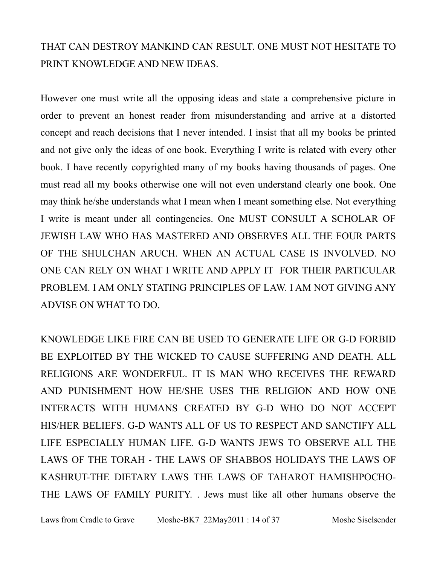#### THAT CAN DESTROY MANKIND CAN RESULT. ONE MUST NOT HESITATE TO PRINT KNOWLEDGE AND NEW IDEAS.

However one must write all the opposing ideas and state a comprehensive picture in order to prevent an honest reader from misunderstanding and arrive at a distorted concept and reach decisions that I never intended. I insist that all my books be printed and not give only the ideas of one book. Everything I write is related with every other book. I have recently copyrighted many of my books having thousands of pages. One must read all my books otherwise one will not even understand clearly one book. One may think he/she understands what I mean when I meant something else. Not everything I write is meant under all contingencies. One MUST CONSULT A SCHOLAR OF JEWISH LAW WHO HAS MASTERED AND OBSERVES ALL THE FOUR PARTS OF THE SHULCHAN ARUCH. WHEN AN ACTUAL CASE IS INVOLVED. NO ONE CAN RELY ON WHAT I WRITE AND APPLY IT FOR THEIR PARTICULAR PROBLEM. I AM ONLY STATING PRINCIPLES OF LAW. I AM NOT GIVING ANY ADVISE ON WHAT TO DO.

KNOWLEDGE LIKE FIRE CAN BE USED TO GENERATE LIFE OR G-D FORBID BE EXPLOITED BY THE WICKED TO CAUSE SUFFERING AND DEATH. ALL RELIGIONS ARE WONDERFUL. IT IS MAN WHO RECEIVES THE REWARD AND PUNISHMENT HOW HE/SHE USES THE RELIGION AND HOW ONE INTERACTS WITH HUMANS CREATED BY G-D WHO DO NOT ACCEPT HIS/HER BELIEFS. G-D WANTS ALL OF US TO RESPECT AND SANCTIFY ALL LIFE ESPECIALLY HUMAN LIFE. G-D WANTS JEWS TO OBSERVE ALL THE LAWS OF THE TORAH - THE LAWS OF SHABBOS HOLIDAYS THE LAWS OF KASHRUT-THE DIETARY LAWS THE LAWS OF TAHAROT HAMISHPOCHO-THE LAWS OF FAMILY PURITY. . Jews must like all other humans observe the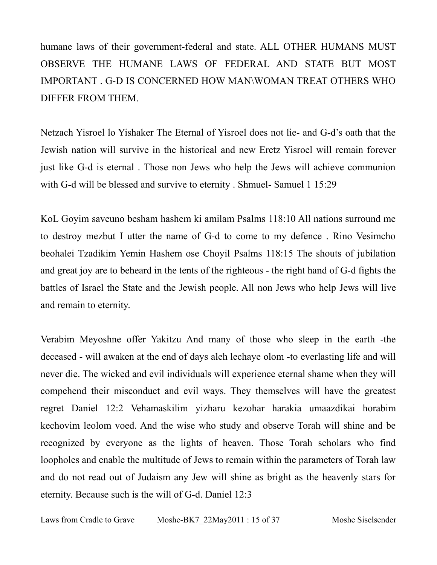humane laws of their government-federal and state. ALL OTHER HUMANS MUST OBSERVE THE HUMANE LAWS OF FEDERAL AND STATE BUT MOST IMPORTANT . G-D IS CONCERNED HOW MAN\WOMAN TREAT OTHERS WHO DIFFER FROM THEM.

Netzach Yisroel lo Yishaker The Eternal of Yisroel does not lie- and G-d's oath that the Jewish nation will survive in the historical and new Eretz Yisroel will remain forever just like G-d is eternal . Those non Jews who help the Jews will achieve communion with G-d will be blessed and survive to eternity. Shmuel-Samuel 1 15:29

KoL Goyim saveuno besham hashem ki amilam Psalms 118:10 All nations surround me to destroy mezbut I utter the name of G-d to come to my defence . Rino Vesimcho beohalei Tzadikim Yemin Hashem ose Choyil Psalms 118:15 The shouts of jubilation and great joy are to beheard in the tents of the righteous - the right hand of G-d fights the battles of Israel the State and the Jewish people. All non Jews who help Jews will live and remain to eternity.

Verabim Meyoshne offer Yakitzu And many of those who sleep in the earth -the deceased - will awaken at the end of days aleh lechaye olom -to everlasting life and will never die. The wicked and evil individuals will experience eternal shame when they will compehend their misconduct and evil ways. They themselves will have the greatest regret Daniel 12:2 Vehamaskilim yizharu kezohar harakia umaazdikai horabim kechovim leolom voed. And the wise who study and observe Torah will shine and be recognized by everyone as the lights of heaven. Those Torah scholars who find loopholes and enable the multitude of Jews to remain within the parameters of Torah law and do not read out of Judaism any Jew will shine as bright as the heavenly stars for eternity. Because such is the will of G-d. Daniel 12:3

Laws from Cradle to Grave Moshe-BK7 22May2011 : 15 of 37 Moshe Siselsender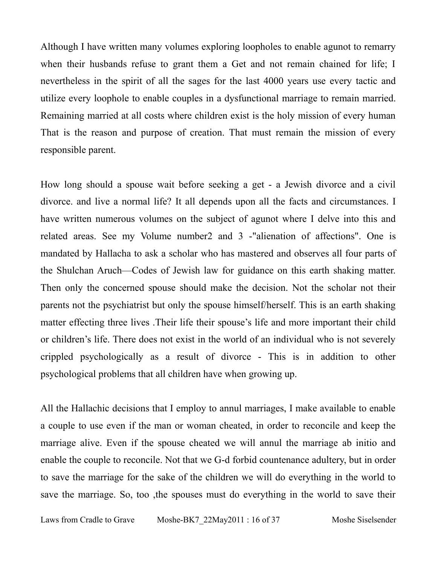Although I have written many volumes exploring loopholes to enable agunot to remarry when their husbands refuse to grant them a Get and not remain chained for life; I nevertheless in the spirit of all the sages for the last 4000 years use every tactic and utilize every loophole to enable couples in a dysfunctional marriage to remain married. Remaining married at all costs where children exist is the holy mission of every human That is the reason and purpose of creation. That must remain the mission of every responsible parent.

How long should a spouse wait before seeking a get - a Jewish divorce and a civil divorce. and live a normal life? It all depends upon all the facts and circumstances. I have written numerous volumes on the subject of agunot where I delve into this and related areas. See my Volume number2 and 3 -"alienation of affections". One is mandated by Hallacha to ask a scholar who has mastered and observes all four parts of the Shulchan Aruch—Codes of Jewish law for guidance on this earth shaking matter. Then only the concerned spouse should make the decision. Not the scholar not their parents not the psychiatrist but only the spouse himself/herself. This is an earth shaking matter effecting three lives .Their life their spouse's life and more important their child or children's life. There does not exist in the world of an individual who is not severely crippled psychologically as a result of divorce - This is in addition to other psychological problems that all children have when growing up.

All the Hallachic decisions that I employ to annul marriages, I make available to enable a couple to use even if the man or woman cheated, in order to reconcile and keep the marriage alive. Even if the spouse cheated we will annul the marriage ab initio and enable the couple to reconcile. Not that we G-d forbid countenance adultery, but in order to save the marriage for the sake of the children we will do everything in the world to save the marriage. So, too ,the spouses must do everything in the world to save their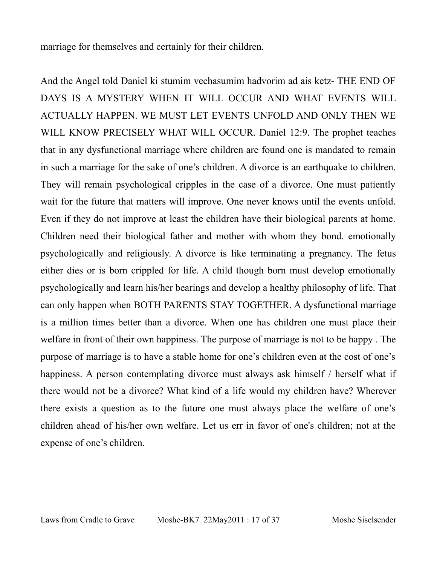marriage for themselves and certainly for their children.

And the Angel told Daniel ki stumim vechasumim hadvorim ad ais ketz- THE END OF DAYS IS A MYSTERY WHEN IT WILL OCCUR AND WHAT EVENTS WILL ACTUALLY HAPPEN. WE MUST LET EVENTS UNFOLD AND ONLY THEN WE WILL KNOW PRECISELY WHAT WILL OCCUR. Daniel 12:9. The prophet teaches that in any dysfunctional marriage where children are found one is mandated to remain in such a marriage for the sake of one's children. A divorce is an earthquake to children. They will remain psychological cripples in the case of a divorce. One must patiently wait for the future that matters will improve. One never knows until the events unfold. Even if they do not improve at least the children have their biological parents at home. Children need their biological father and mother with whom they bond. emotionally psychologically and religiously. A divorce is like terminating a pregnancy. The fetus either dies or is born crippled for life. A child though born must develop emotionally psychologically and learn his/her bearings and develop a healthy philosophy of life. That can only happen when BOTH PARENTS STAY TOGETHER. A dysfunctional marriage is a million times better than a divorce. When one has children one must place their welfare in front of their own happiness. The purpose of marriage is not to be happy . The purpose of marriage is to have a stable home for one's children even at the cost of one's happiness. A person contemplating divorce must always ask himself / herself what if there would not be a divorce? What kind of a life would my children have? Wherever there exists a question as to the future one must always place the welfare of one's children ahead of his/her own welfare. Let us err in favor of one's children; not at the expense of one's children.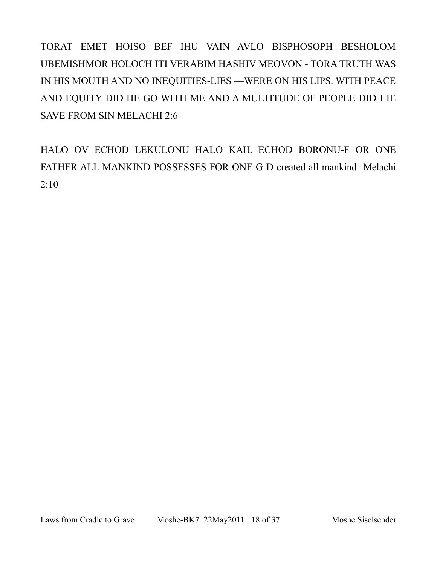TORAT EMET HOISO BEF IHU VAIN AVLO BISPHOSOPH BESHOLOM UBEMISHMOR HOLOCH ITI VERABIM HASHIV MEOVON - TORA TRUTH WAS IN HIS MOUTH AND NO INEQUITIES-LIES —WERE ON HIS LIPS. WITH PEACE AND EQUITY DID HE GO WITH ME AND A MULTITUDE OF PEOPLE DID I-IE SAVE FROM SIN MELACHI 2:6

HALO OV ECHOD LEKULONU HALO KAIL ECHOD BORONU-F OR ONE FATHER ALL MANKIND POSSESSES FOR ONE G-D created all mankind -Melachi 2:10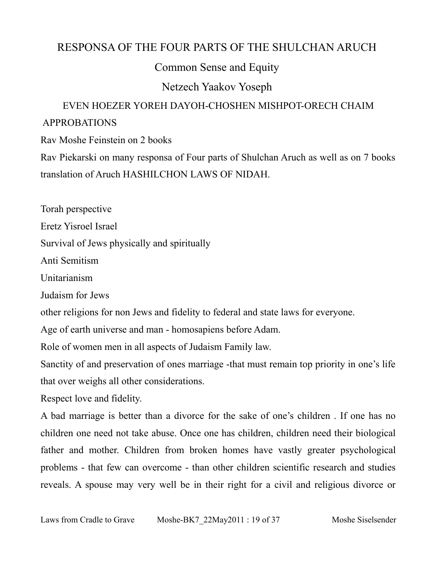#### RESPONSA OF THE FOUR PARTS OF THE SHULCHAN ARUCH

Common Sense and Equity

Netzech Yaakov Yoseph

#### EVEN HOEZER YOREH DAYOH-CHOSHEN MISHPOT-ORECH CHAIM APPROBATIONS

Rav Moshe Feinstein on 2 books

Rav Piekarski on many responsa of Four parts of Shulchan Aruch as well as on 7 books translation of Aruch HASHILCHON LAWS OF NIDAH.

Torah perspective

Eretz Yisroel Israel

Survival of Jews physically and spiritually

Anti Semitism

Unitarianism

Judaism for Jews

other religions for non Jews and fidelity to federal and state laws for everyone.

Age of earth universe and man - homosapiens before Adam.

Role of women men in all aspects of Judaism Family law.

Sanctity of and preservation of ones marriage -that must remain top priority in one's life that over weighs all other considerations.

Respect love and fidelity.

A bad marriage is better than a divorce for the sake of one's children . If one has no children one need not take abuse. Once one has children, children need their biological father and mother. Children from broken homes have vastly greater psychological problems - that few can overcome - than other children scientific research and studies reveals. A spouse may very well be in their right for a civil and religious divorce or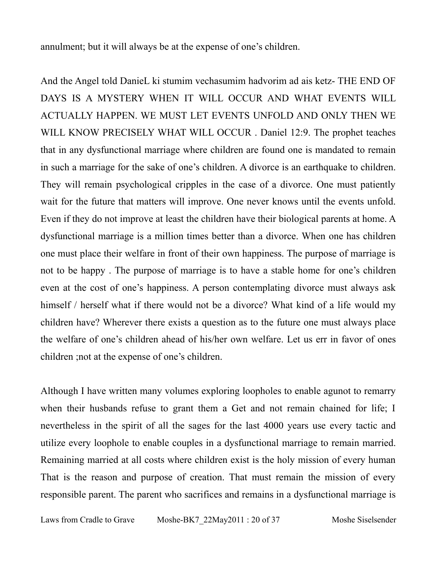annulment; but it will always be at the expense of one's children.

And the Angel told DanieL ki stumim vechasumim hadvorim ad ais ketz- THE END OF DAYS IS A MYSTERY WHEN IT WILL OCCUR AND WHAT EVENTS WILL ACTUALLY HAPPEN. WE MUST LET EVENTS UNFOLD AND ONLY THEN WE WILL KNOW PRECISELY WHAT WILL OCCUR . Daniel 12:9. The prophet teaches that in any dysfunctional marriage where children are found one is mandated to remain in such a marriage for the sake of one's children. A divorce is an earthquake to children. They will remain psychological cripples in the case of a divorce. One must patiently wait for the future that matters will improve. One never knows until the events unfold. Even if they do not improve at least the children have their biological parents at home. A dysfunctional marriage is a million times better than a divorce. When one has children one must place their welfare in front of their own happiness. The purpose of marriage is not to be happy . The purpose of marriage is to have a stable home for one's children even at the cost of one's happiness. A person contemplating divorce must always ask himself / herself what if there would not be a divorce? What kind of a life would my children have? Wherever there exists a question as to the future one must always place the welfare of one's children ahead of his/her own welfare. Let us err in favor of ones children ;not at the expense of one's children.

Although I have written many volumes exploring loopholes to enable agunot to remarry when their husbands refuse to grant them a Get and not remain chained for life; I nevertheless in the spirit of all the sages for the last 4000 years use every tactic and utilize every loophole to enable couples in a dysfunctional marriage to remain married. Remaining married at all costs where children exist is the holy mission of every human That is the reason and purpose of creation. That must remain the mission of every responsible parent. The parent who sacrifices and remains in a dysfunctional marriage is

Laws from Cradle to Grave Moshe-BK7 22May2011 : 20 of 37 Moshe Siselsender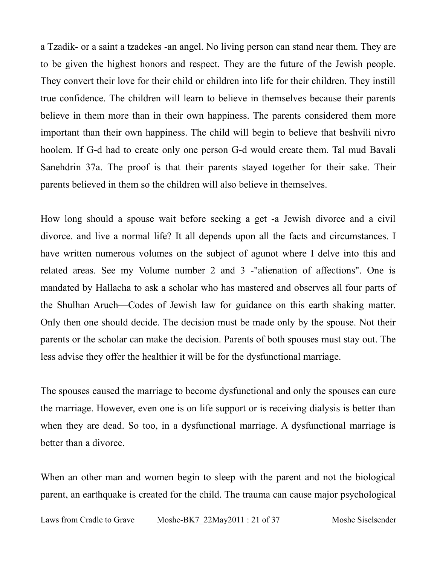a Tzadik- or a saint a tzadekes -an angel. No living person can stand near them. They are to be given the highest honors and respect. They are the future of the Jewish people. They convert their love for their child or children into life for their children. They instill true confidence. The children will learn to believe in themselves because their parents believe in them more than in their own happiness. The parents considered them more important than their own happiness. The child will begin to believe that beshvili nivro hoolem. If G-d had to create only one person G-d would create them. Tal mud Bavali Sanehdrin 37a. The proof is that their parents stayed together for their sake. Their parents believed in them so the children will also believe in themselves.

How long should a spouse wait before seeking a get -a Jewish divorce and a civil divorce. and live a normal life? It all depends upon all the facts and circumstances. I have written numerous volumes on the subject of agunot where I delve into this and related areas. See my Volume number 2 and 3 -"alienation of affections". One is mandated by Hallacha to ask a scholar who has mastered and observes all four parts of the Shulhan Aruch—Codes of Jewish law for guidance on this earth shaking matter. Only then one should decide. The decision must be made only by the spouse. Not their parents or the scholar can make the decision. Parents of both spouses must stay out. The less advise they offer the healthier it will be for the dysfunctional marriage.

The spouses caused the marriage to become dysfunctional and only the spouses can cure the marriage. However, even one is on life support or is receiving dialysis is better than when they are dead. So too, in a dysfunctional marriage. A dysfunctional marriage is better than a divorce.

When an other man and women begin to sleep with the parent and not the biological parent, an earthquake is created for the child. The trauma can cause major psychological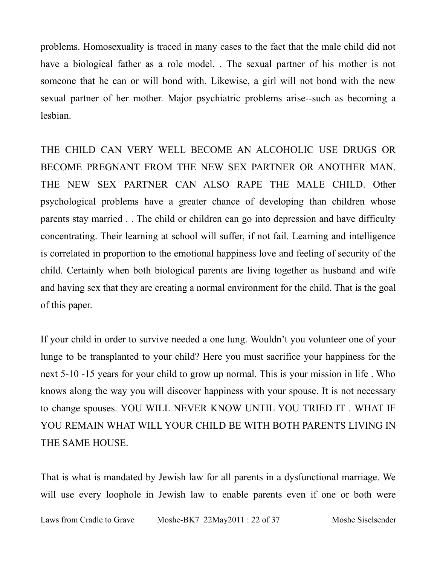problems. Homosexuality is traced in many cases to the fact that the male child did not have a biological father as a role model. . The sexual partner of his mother is not someone that he can or will bond with. Likewise, a girl will not bond with the new sexual partner of her mother. Major psychiatric problems arise--such as becoming a lesbian.

THE CHILD CAN VERY WELL BECOME AN ALCOHOLIC USE DRUGS OR BECOME PREGNANT FROM THE NEW SEX PARTNER OR ANOTHER MAN. THE NEW SEX PARTNER CAN ALSO RAPE THE MALE CHILD. Other psychological problems have a greater chance of developing than children whose parents stay married . . The child or children can go into depression and have difficulty concentrating. Their learning at school will suffer, if not fail. Learning and intelligence is correlated in proportion to the emotional happiness love and feeling of security of the child. Certainly when both biological parents are living together as husband and wife and having sex that they are creating a normal environment for the child. That is the goal of this paper.

If your child in order to survive needed a one lung. Wouldn't you volunteer one of your lunge to be transplanted to your child? Here you must sacrifice your happiness for the next 5-10 -15 years for your child to grow up normal. This is your mission in life . Who knows along the way you will discover happiness with your spouse. It is not necessary to change spouses. YOU WILL NEVER KNOW UNTIL YOU TRIED IT . WHAT IF YOU REMAIN WHAT WILL YOUR CHILD BE WITH BOTH PARENTS LIVING IN THE SAME HOUSE.

That is what is mandated by Jewish law for all parents in a dysfunctional marriage. We will use every loophole in Jewish law to enable parents even if one or both were

Laws from Cradle to Grave Moshe-BK7 22May2011 : 22 of 37 Moshe Siselsender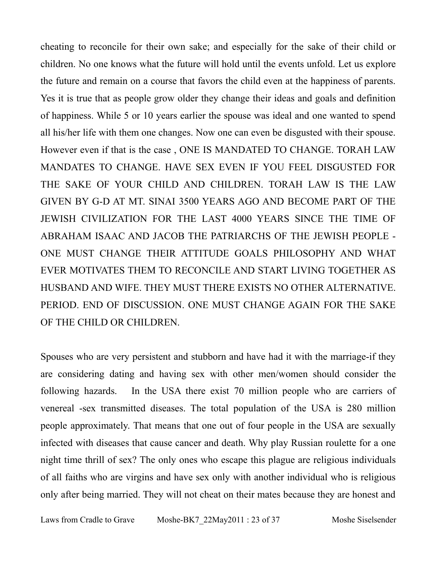cheating to reconcile for their own sake; and especially for the sake of their child or children. No one knows what the future will hold until the events unfold. Let us explore the future and remain on a course that favors the child even at the happiness of parents. Yes it is true that as people grow older they change their ideas and goals and definition of happiness. While 5 or 10 years earlier the spouse was ideal and one wanted to spend all his/her life with them one changes. Now one can even be disgusted with their spouse. However even if that is the case , ONE IS MANDATED TO CHANGE. TORAH LAW MANDATES TO CHANGE. HAVE SEX EVEN IF YOU FEEL DISGUSTED FOR THE SAKE OF YOUR CHILD AND CHILDREN. TORAH LAW IS THE LAW GIVEN BY G-D AT MT. SINAI 3500 YEARS AGO AND BECOME PART OF THE JEWISH CIVILIZATION FOR THE LAST 4000 YEARS SINCE THE TIME OF ABRAHAM ISAAC AND JACOB THE PATRIARCHS OF THE JEWISH PEOPLE - ONE MUST CHANGE THEIR ATTITUDE GOALS PHILOSOPHY AND WHAT EVER MOTIVATES THEM TO RECONCILE AND START LIVING TOGETHER AS HUSBAND AND WIFE. THEY MUST THERE EXISTS NO OTHER ALTERNATIVE. PERIOD. END OF DISCUSSION. ONE MUST CHANGE AGAIN FOR THE SAKE OF THE CHILD OR CHILDREN.

Spouses who are very persistent and stubborn and have had it with the marriage-if they are considering dating and having sex with other men/women should consider the following hazards. In the USA there exist 70 million people who are carriers of venereal -sex transmitted diseases. The total population of the USA is 280 million people approximately. That means that one out of four people in the USA are sexually infected with diseases that cause cancer and death. Why play Russian roulette for a one night time thrill of sex? The only ones who escape this plague are religious individuals of all faiths who are virgins and have sex only with another individual who is religious only after being married. They will not cheat on their mates because they are honest and

Laws from Cradle to Grave Moshe-BK7 22May2011 : 23 of 37 Moshe Siselsender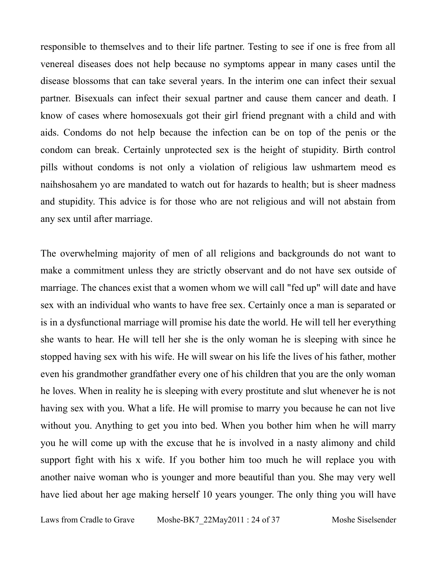responsible to themselves and to their life partner. Testing to see if one is free from all venereal diseases does not help because no symptoms appear in many cases until the disease blossoms that can take several years. In the interim one can infect their sexual partner. Bisexuals can infect their sexual partner and cause them cancer and death. I know of cases where homosexuals got their girl friend pregnant with a child and with aids. Condoms do not help because the infection can be on top of the penis or the condom can break. Certainly unprotected sex is the height of stupidity. Birth control pills without condoms is not only a violation of religious law ushmartem meod es naihshosahem yo are mandated to watch out for hazards to health; but is sheer madness and stupidity. This advice is for those who are not religious and will not abstain from any sex until after marriage.

The overwhelming majority of men of all religions and backgrounds do not want to make a commitment unless they are strictly observant and do not have sex outside of marriage. The chances exist that a women whom we will call "fed up" will date and have sex with an individual who wants to have free sex. Certainly once a man is separated or is in a dysfunctional marriage will promise his date the world. He will tell her everything she wants to hear. He will tell her she is the only woman he is sleeping with since he stopped having sex with his wife. He will swear on his life the lives of his father, mother even his grandmother grandfather every one of his children that you are the only woman he loves. When in reality he is sleeping with every prostitute and slut whenever he is not having sex with you. What a life. He will promise to marry you because he can not live without you. Anything to get you into bed. When you bother him when he will marry you he will come up with the excuse that he is involved in a nasty alimony and child support fight with his x wife. If you bother him too much he will replace you with another naive woman who is younger and more beautiful than you. She may very well have lied about her age making herself 10 years younger. The only thing you will have

Laws from Cradle to Grave Moshe-BK7 22May2011 : 24 of 37 Moshe Siselsender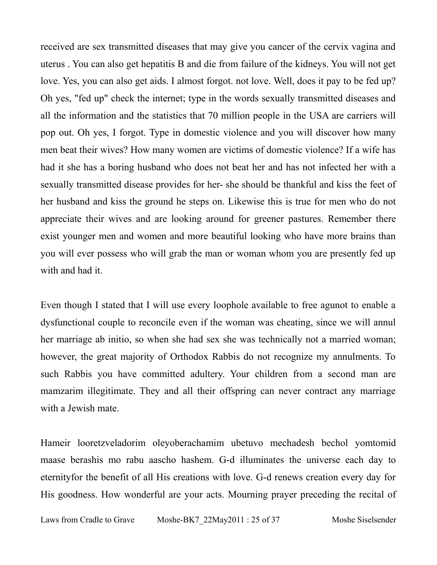received are sex transmitted diseases that may give you cancer of the cervix vagina and uterus . You can also get hepatitis B and die from failure of the kidneys. You will not get love. Yes, you can also get aids. I almost forgot. not love. Well, does it pay to be fed up? Oh yes, "fed up" check the internet; type in the words sexually transmitted diseases and all the information and the statistics that 70 million people in the USA are carriers will pop out. Oh yes, I forgot. Type in domestic violence and you will discover how many men beat their wives? How many women are victims of domestic violence? If a wife has had it she has a boring husband who does not beat her and has not infected her with a sexually transmitted disease provides for her- she should be thankful and kiss the feet of her husband and kiss the ground he steps on. Likewise this is true for men who do not appreciate their wives and are looking around for greener pastures. Remember there exist younger men and women and more beautiful looking who have more brains than you will ever possess who will grab the man or woman whom you are presently fed up with and had it.

Even though I stated that I will use every loophole available to free agunot to enable a dysfunctional couple to reconcile even if the woman was cheating, since we will annul her marriage ab initio, so when she had sex she was technically not a married woman; however, the great majority of Orthodox Rabbis do not recognize my annulments. To such Rabbis you have committed adultery. Your children from a second man are mamzarim illegitimate. They and all their offspring can never contract any marriage with a Jewish mate.

Hameir looretzveladorim oleyoberachamim ubetuvo mechadesh bechol yomtomid maase berashis mo rabu aascho hashem. G-d illuminates the universe each day to eternityfor the benefit of all His creations with love. G-d renews creation every day for His goodness. How wonderful are your acts. Mourning prayer preceding the recital of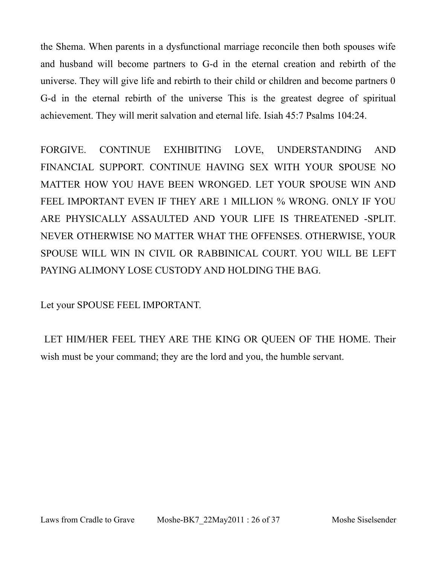the Shema. When parents in a dysfunctional marriage reconcile then both spouses wife and husband will become partners to G-d in the eternal creation and rebirth of the universe. They will give life and rebirth to their child or children and become partners 0 G-d in the eternal rebirth of the universe This is the greatest degree of spiritual achievement. They will merit salvation and eternal life. Isiah 45:7 Psalms 104:24.

FORGIVE. CONTINUE EXHIBITING LOVE, UNDERSTANDING AND FINANCIAL SUPPORT. CONTINUE HAVING SEX WITH YOUR SPOUSE NO MATTER HOW YOU HAVE BEEN WRONGED. LET YOUR SPOUSE WIN AND FEEL IMPORTANT EVEN IF THEY ARE 1 MILLION % WRONG. ONLY IF YOU ARE PHYSICALLY ASSAULTED AND YOUR LIFE IS THREATENED -SPLIT. NEVER OTHERWISE NO MATTER WHAT THE OFFENSES. OTHERWISE, YOUR SPOUSE WILL WIN IN CIVIL OR RABBINICAL COURT. YOU WILL BE LEFT PAYING ALIMONY LOSE CUSTODY AND HOLDING THE BAG.

Let your SPOUSE FEEL IMPORTANT.

 LET HIM/HER FEEL THEY ARE THE KING OR QUEEN OF THE HOME. Their wish must be your command; they are the lord and you, the humble servant.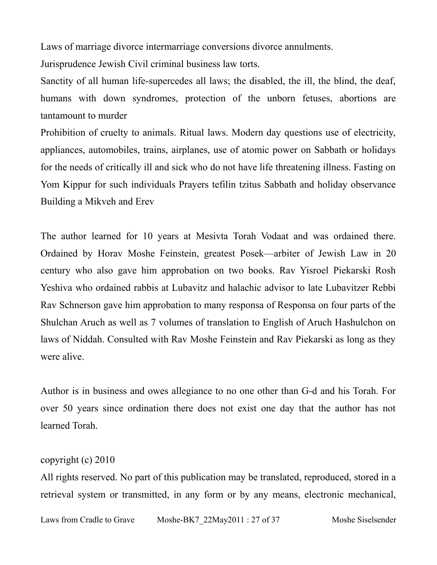Laws of marriage divorce intermarriage conversions divorce annulments.

Jurisprudence Jewish Civil criminal business law torts.

Sanctity of all human life-supercedes all laws; the disabled, the ill, the blind, the deaf, humans with down syndromes, protection of the unborn fetuses, abortions are tantamount to murder

Prohibition of cruelty to animals. Ritual laws. Modern day questions use of electricity, appliances, automobiles, trains, airplanes, use of atomic power on Sabbath or holidays for the needs of critically ill and sick who do not have life threatening illness. Fasting on Yom Kippur for such individuals Prayers tefilin tzitus Sabbath and holiday observance Building a Mikveh and Erev

The author learned for 10 years at Mesivta Torah Vodaat and was ordained there. Ordained by Horav Moshe Feinstein, greatest Posek—arbiter of Jewish Law in 20 century who also gave him approbation on two books. Rav Yisroel Piekarski Rosh Yeshiva who ordained rabbis at Lubavitz and halachic advisor to late Lubavitzer Rebbi Rav Schnerson gave him approbation to many responsa of Responsa on four parts of the Shulchan Aruch as well as 7 volumes of translation to English of Aruch Hashulchon on laws of Niddah. Consulted with Rav Moshe Feinstein and Rav Piekarski as long as they were alive.

Author is in business and owes allegiance to no one other than G-d and his Torah. For over 50 years since ordination there does not exist one day that the author has not learned Torah.

#### copyright (c) 2010

All rights reserved. No part of this publication may be translated, reproduced, stored in a retrieval system or transmitted, in any form or by any means, electronic mechanical,

Laws from Cradle to Grave Moshe-BK7 22May2011 : 27 of 37 Moshe Siselsender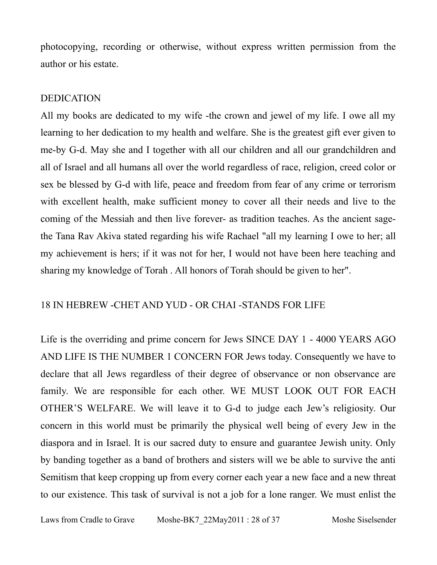photocopying, recording or otherwise, without express written permission from the author or his estate.

#### DEDICATION

All my books are dedicated to my wife -the crown and jewel of my life. I owe all my learning to her dedication to my health and welfare. She is the greatest gift ever given to me-by G-d. May she and I together with all our children and all our grandchildren and all of Israel and all humans all over the world regardless of race, religion, creed color or sex be blessed by G-d with life, peace and freedom from fear of any crime or terrorism with excellent health, make sufficient money to cover all their needs and live to the coming of the Messiah and then live forever- as tradition teaches. As the ancient sagethe Tana Rav Akiva stated regarding his wife Rachael "all my learning I owe to her; all my achievement is hers; if it was not for her, I would not have been here teaching and sharing my knowledge of Torah . All honors of Torah should be given to her".

#### 18 IN HEBREW -CHET AND YUD - OR CHAI -STANDS FOR LIFE

Life is the overriding and prime concern for Jews SINCE DAY 1 - 4000 YEARS AGO AND LIFE IS THE NUMBER 1 CONCERN FOR Jews today. Consequently we have to declare that all Jews regardless of their degree of observance or non observance are family. We are responsible for each other. WE MUST LOOK OUT FOR EACH OTHER'S WELFARE. We will leave it to G-d to judge each Jew's religiosity. Our concern in this world must be primarily the physical well being of every Jew in the diaspora and in Israel. It is our sacred duty to ensure and guarantee Jewish unity. Only by banding together as a band of brothers and sisters will we be able to survive the anti Semitism that keep cropping up from every corner each year a new face and a new threat to our existence. This task of survival is not a job for a lone ranger. We must enlist the

Laws from Cradle to Grave Moshe-BK7 22May2011 : 28 of 37 Moshe Siselsender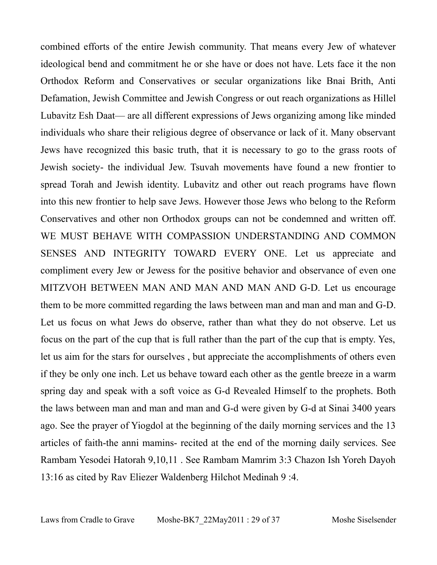combined efforts of the entire Jewish community. That means every Jew of whatever ideological bend and commitment he or she have or does not have. Lets face it the non Orthodox Reform and Conservatives or secular organizations like Bnai Brith, Anti Defamation, Jewish Committee and Jewish Congress or out reach organizations as Hillel Lubavitz Esh Daat— are all different expressions of Jews organizing among like minded individuals who share their religious degree of observance or lack of it. Many observant Jews have recognized this basic truth, that it is necessary to go to the grass roots of Jewish society- the individual Jew. Tsuvah movements have found a new frontier to spread Torah and Jewish identity. Lubavitz and other out reach programs have flown into this new frontier to help save Jews. However those Jews who belong to the Reform Conservatives and other non Orthodox groups can not be condemned and written off. WE MUST BEHAVE WITH COMPASSION UNDERSTANDING AND COMMON SENSES AND INTEGRITY TOWARD EVERY ONE. Let us appreciate and compliment every Jew or Jewess for the positive behavior and observance of even one MITZVOH BETWEEN MAN AND MAN AND MAN AND G-D. Let us encourage them to be more committed regarding the laws between man and man and man and G-D. Let us focus on what Jews do observe, rather than what they do not observe. Let us focus on the part of the cup that is full rather than the part of the cup that is empty. Yes, let us aim for the stars for ourselves , but appreciate the accomplishments of others even if they be only one inch. Let us behave toward each other as the gentle breeze in a warm spring day and speak with a soft voice as G-d Revealed Himself to the prophets. Both the laws between man and man and man and G-d were given by G-d at Sinai 3400 years ago. See the prayer of Yiogdol at the beginning of the daily morning services and the 13 articles of faith-the anni mamins- recited at the end of the morning daily services. See Rambam Yesodei Hatorah 9,10,11 . See Rambam Mamrim 3:3 Chazon Ish Yoreh Dayoh 13:16 as cited by Rav Eliezer Waldenberg Hilchot Medinah 9 :4.

Laws from Cradle to Grave Moshe-BK7 22May2011 : 29 of 37 Moshe Siselsender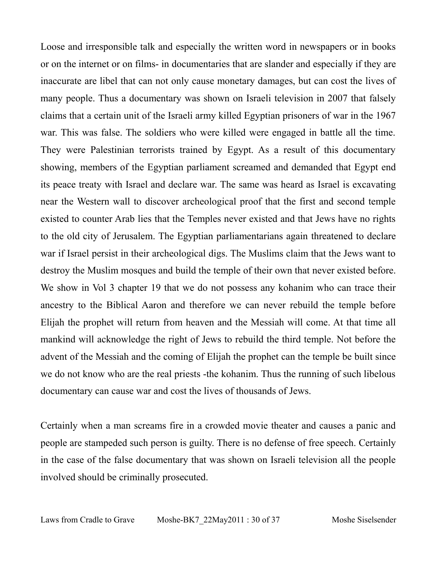Loose and irresponsible talk and especially the written word in newspapers or in books or on the internet or on films- in documentaries that are slander and especially if they are inaccurate are libel that can not only cause monetary damages, but can cost the lives of many people. Thus a documentary was shown on Israeli television in 2007 that falsely claims that a certain unit of the Israeli army killed Egyptian prisoners of war in the 1967 war. This was false. The soldiers who were killed were engaged in battle all the time. They were Palestinian terrorists trained by Egypt. As a result of this documentary showing, members of the Egyptian parliament screamed and demanded that Egypt end its peace treaty with Israel and declare war. The same was heard as Israel is excavating near the Western wall to discover archeological proof that the first and second temple existed to counter Arab lies that the Temples never existed and that Jews have no rights to the old city of Jerusalem. The Egyptian parliamentarians again threatened to declare war if Israel persist in their archeological digs. The Muslims claim that the Jews want to destroy the Muslim mosques and build the temple of their own that never existed before. We show in Vol 3 chapter 19 that we do not possess any kohanim who can trace their ancestry to the Biblical Aaron and therefore we can never rebuild the temple before Elijah the prophet will return from heaven and the Messiah will come. At that time all mankind will acknowledge the right of Jews to rebuild the third temple. Not before the advent of the Messiah and the coming of Elijah the prophet can the temple be built since we do not know who are the real priests -the kohanim. Thus the running of such libelous documentary can cause war and cost the lives of thousands of Jews.

Certainly when a man screams fire in a crowded movie theater and causes a panic and people are stampeded such person is guilty. There is no defense of free speech. Certainly in the case of the false documentary that was shown on Israeli television all the people involved should be criminally prosecuted.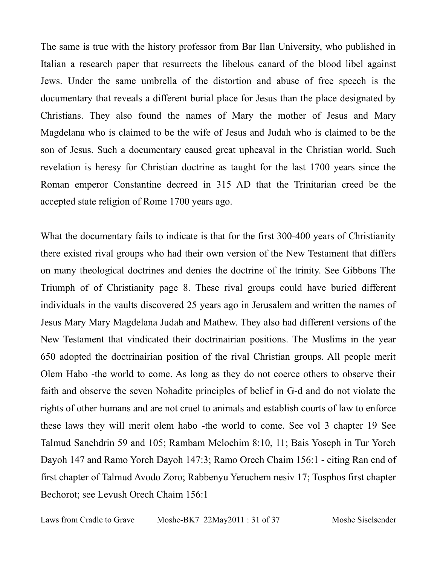The same is true with the history professor from Bar Ilan University, who published in Italian a research paper that resurrects the libelous canard of the blood libel against Jews. Under the same umbrella of the distortion and abuse of free speech is the documentary that reveals a different burial place for Jesus than the place designated by Christians. They also found the names of Mary the mother of Jesus and Mary Magdelana who is claimed to be the wife of Jesus and Judah who is claimed to be the son of Jesus. Such a documentary caused great upheaval in the Christian world. Such revelation is heresy for Christian doctrine as taught for the last 1700 years since the Roman emperor Constantine decreed in 315 AD that the Trinitarian creed be the accepted state religion of Rome 1700 years ago.

What the documentary fails to indicate is that for the first 300-400 years of Christianity there existed rival groups who had their own version of the New Testament that differs on many theological doctrines and denies the doctrine of the trinity. See Gibbons The Triumph of of Christianity page 8. These rival groups could have buried different individuals in the vaults discovered 25 years ago in Jerusalem and written the names of Jesus Mary Mary Magdelana Judah and Mathew. They also had different versions of the New Testament that vindicated their doctrinairian positions. The Muslims in the year 650 adopted the doctrinairian position of the rival Christian groups. All people merit Olem Habo -the world to come. As long as they do not coerce others to observe their faith and observe the seven Nohadite principles of belief in G-d and do not violate the rights of other humans and are not cruel to animals and establish courts of law to enforce these laws they will merit olem habo -the world to come. See vol 3 chapter 19 See Talmud Sanehdrin 59 and 105; Rambam Melochim 8:10, 11; Bais Yoseph in Tur Yoreh Dayoh 147 and Ramo Yoreh Dayoh 147:3; Ramo Orech Chaim 156:1 - citing Ran end of first chapter of Talmud Avodo Zoro; Rabbenyu Yeruchem nesiv 17; Tosphos first chapter Bechorot; see Levush Orech Chaim 156:1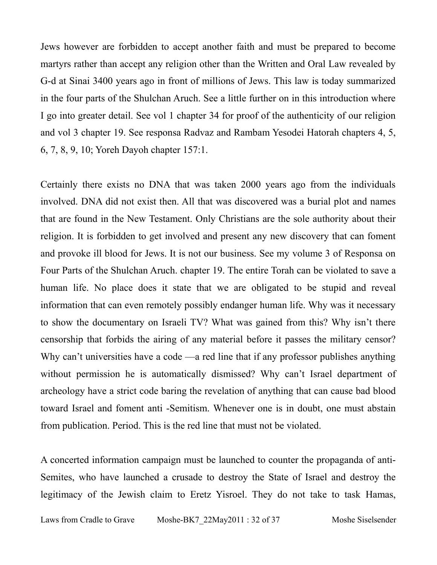Jews however are forbidden to accept another faith and must be prepared to become martyrs rather than accept any religion other than the Written and Oral Law revealed by G-d at Sinai 3400 years ago in front of millions of Jews. This law is today summarized in the four parts of the Shulchan Aruch. See a little further on in this introduction where I go into greater detail. See vol 1 chapter 34 for proof of the authenticity of our religion and vol 3 chapter 19. See responsa Radvaz and Rambam Yesodei Hatorah chapters 4, 5, 6, 7, 8, 9, 10; Yoreh Dayoh chapter 157:1.

Certainly there exists no DNA that was taken 2000 years ago from the individuals involved. DNA did not exist then. All that was discovered was a burial plot and names that are found in the New Testament. Only Christians are the sole authority about their religion. It is forbidden to get involved and present any new discovery that can foment and provoke ill blood for Jews. It is not our business. See my volume 3 of Responsa on Four Parts of the Shulchan Aruch. chapter 19. The entire Torah can be violated to save a human life. No place does it state that we are obligated to be stupid and reveal information that can even remotely possibly endanger human life. Why was it necessary to show the documentary on Israeli TV? What was gained from this? Why isn't there censorship that forbids the airing of any material before it passes the military censor? Why can't universities have a code —a red line that if any professor publishes anything without permission he is automatically dismissed? Why can't Israel department of archeology have a strict code baring the revelation of anything that can cause bad blood toward Israel and foment anti -Semitism. Whenever one is in doubt, one must abstain from publication. Period. This is the red line that must not be violated.

A concerted information campaign must be launched to counter the propaganda of anti-Semites, who have launched a crusade to destroy the State of Israel and destroy the legitimacy of the Jewish claim to Eretz Yisroel. They do not take to task Hamas,

Laws from Cradle to Grave Moshe-BK7 22May2011 : 32 of 37 Moshe Siselsender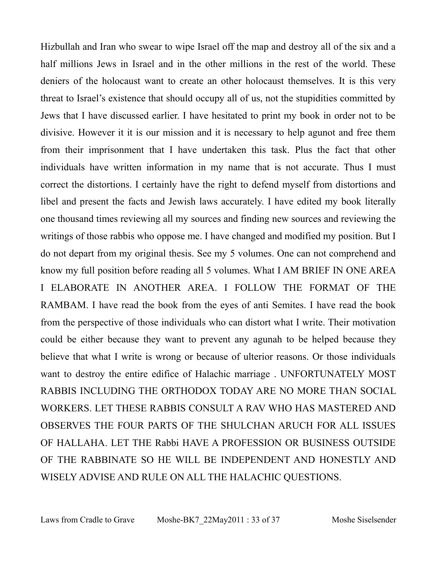Hizbullah and Iran who swear to wipe Israel off the map and destroy all of the six and a half millions Jews in Israel and in the other millions in the rest of the world. These deniers of the holocaust want to create an other holocaust themselves. It is this very threat to Israel's existence that should occupy all of us, not the stupidities committed by Jews that I have discussed earlier. I have hesitated to print my book in order not to be divisive. However it it is our mission and it is necessary to help agunot and free them from their imprisonment that I have undertaken this task. Plus the fact that other individuals have written information in my name that is not accurate. Thus I must correct the distortions. I certainly have the right to defend myself from distortions and libel and present the facts and Jewish laws accurately. I have edited my book literally one thousand times reviewing all my sources and finding new sources and reviewing the writings of those rabbis who oppose me. I have changed and modified my position. But I do not depart from my original thesis. See my 5 volumes. One can not comprehend and know my full position before reading all 5 volumes. What I AM BRIEF IN ONE AREA I ELABORATE IN ANOTHER AREA. I FOLLOW THE FORMAT OF THE RAMBAM. I have read the book from the eyes of anti Semites. I have read the book from the perspective of those individuals who can distort what I write. Their motivation could be either because they want to prevent any agunah to be helped because they believe that what I write is wrong or because of ulterior reasons. Or those individuals want to destroy the entire edifice of Halachic marriage . UNFORTUNATELY MOST RABBIS INCLUDING THE ORTHODOX TODAY ARE NO MORE THAN SOCIAL WORKERS. LET THESE RABBIS CONSULT A RAV WHO HAS MASTERED AND OBSERVES THE FOUR PARTS OF THE SHULCHAN ARUCH FOR ALL ISSUES OF HALLAHA. LET THE Rabbi HAVE A PROFESSION OR BUSINESS OUTSIDE OF THE RABBINATE SO HE WILL BE INDEPENDENT AND HONESTLY AND WISELY ADVISE AND RULE ON ALL THE HALACHIC QUESTIONS.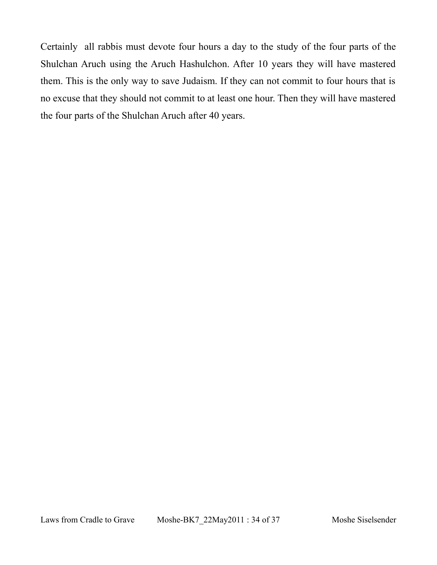Certainly all rabbis must devote four hours a day to the study of the four parts of the Shulchan Aruch using the Aruch Hashulchon. After 10 years they will have mastered them. This is the only way to save Judaism. If they can not commit to four hours that is no excuse that they should not commit to at least one hour. Then they will have mastered the four parts of the Shulchan Aruch after 40 years.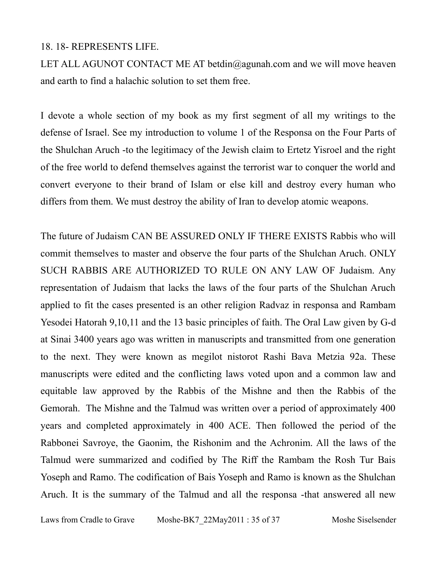#### 18. 18- REPRESENTS LIFE.

LET ALL AGUNOT CONTACT ME AT betdin@agunah.com and we will move heaven and earth to find a halachic solution to set them free.

I devote a whole section of my book as my first segment of all my writings to the defense of Israel. See my introduction to volume 1 of the Responsa on the Four Parts of the Shulchan Aruch -to the legitimacy of the Jewish claim to Ertetz Yisroel and the right of the free world to defend themselves against the terrorist war to conquer the world and convert everyone to their brand of Islam or else kill and destroy every human who differs from them. We must destroy the ability of Iran to develop atomic weapons.

The future of Judaism CAN BE ASSURED ONLY IF THERE EXISTS Rabbis who will commit themselves to master and observe the four parts of the Shulchan Aruch. ONLY SUCH RABBIS ARE AUTHORIZED TO RULE ON ANY LAW OF Judaism. Any representation of Judaism that lacks the laws of the four parts of the Shulchan Aruch applied to fit the cases presented is an other religion Radvaz in responsa and Rambam Yesodei Hatorah 9,10,11 and the 13 basic principles of faith. The Oral Law given by G-d at Sinai 3400 years ago was written in manuscripts and transmitted from one generation to the next. They were known as megilot nistorot Rashi Bava Metzia 92a. These manuscripts were edited and the conflicting laws voted upon and a common law and equitable law approved by the Rabbis of the Mishne and then the Rabbis of the Gemorah. The Mishne and the Talmud was written over a period of approximately 400 years and completed approximately in 400 ACE. Then followed the period of the Rabbonei Savroye, the Gaonim, the Rishonim and the Achronim. All the laws of the Talmud were summarized and codified by The Riff the Rambam the Rosh Tur Bais Yoseph and Ramo. The codification of Bais Yoseph and Ramo is known as the Shulchan Aruch. It is the summary of the Talmud and all the responsa -that answered all new

Laws from Cradle to Grave Moshe-BK7 22May2011 : 35 of 37 Moshe Siselsender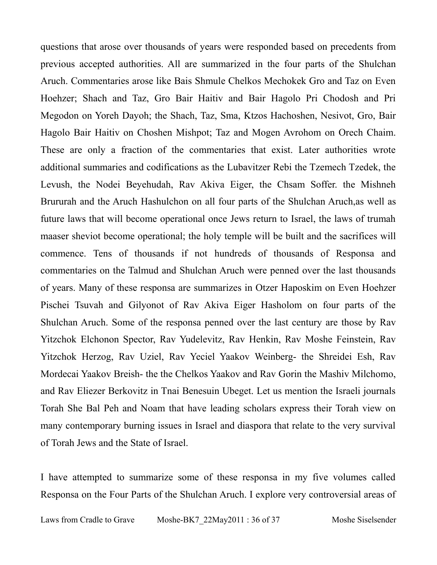questions that arose over thousands of years were responded based on precedents from previous accepted authorities. All are summarized in the four parts of the Shulchan Aruch. Commentaries arose like Bais Shmule Chelkos Mechokek Gro and Taz on Even Hoehzer; Shach and Taz, Gro Bair Haitiv and Bair Hagolo Pri Chodosh and Pri Megodon on Yoreh Dayoh; the Shach, Taz, Sma, Ktzos Hachoshen, Nesivot, Gro, Bair Hagolo Bair Haitiv on Choshen Mishpot; Taz and Mogen Avrohom on Orech Chaim. These are only a fraction of the commentaries that exist. Later authorities wrote additional summaries and codifications as the Lubavitzer Rebi the Tzemech Tzedek, the Levush, the Nodei Beyehudah, Rav Akiva Eiger, the Chsam Soffer. the Mishneh Brururah and the Aruch Hashulchon on all four parts of the Shulchan Aruch,as well as future laws that will become operational once Jews return to Israel, the laws of trumah maaser sheviot become operational; the holy temple will be built and the sacrifices will commence. Tens of thousands if not hundreds of thousands of Responsa and commentaries on the Talmud and Shulchan Aruch were penned over the last thousands of years. Many of these responsa are summarizes in Otzer Haposkim on Even Hoehzer Pischei Tsuvah and Gilyonot of Rav Akiva Eiger Hasholom on four parts of the Shulchan Aruch. Some of the responsa penned over the last century are those by Rav Yitzchok Elchonon Spector, Rav Yudelevitz, Rav Henkin, Rav Moshe Feinstein, Rav Yitzchok Herzog, Rav Uziel, Rav Yeciel Yaakov Weinberg- the Shreidei Esh, Rav Mordecai Yaakov Breish- the the Chelkos Yaakov and Rav Gorin the Mashiv Milchomo, and Rav Eliezer Berkovitz in Tnai Benesuin Ubeget. Let us mention the Israeli journals Torah She Bal Peh and Noam that have leading scholars express their Torah view on many contemporary burning issues in Israel and diaspora that relate to the very survival of Torah Jews and the State of Israel.

I have attempted to summarize some of these responsa in my five volumes called Responsa on the Four Parts of the Shulchan Aruch. I explore very controversial areas of

Laws from Cradle to Grave Moshe-BK7 22May2011 : 36 of 37 Moshe Siselsender